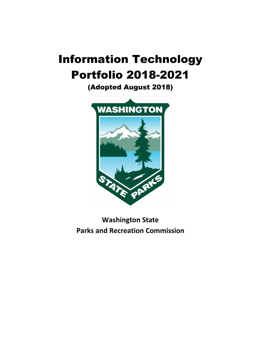# Information Technology Portfolio 2018-2021

(Adopted August 2018)



**Washington State Parks and Recreation Commission**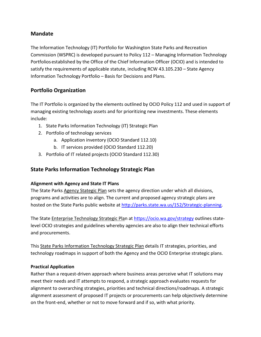## **Mandate**

The Information Technology (IT) Portfolio for Washington State Parks and Recreation Commission (WSPRC) is developed pursuant to Policy 112 – Managing Information Technology Portfolios established by the Office of the Chief Information Officer (OCIO) and is intended to satisfy the requirements of applicable statute, including RCW 43.105.230 – State Agency Information Technology Portfolio – Basis for Decisions and Plans.

## **Portfolio Organization**

The IT Portfolio is organized by the elements outlined by OCIO Policy 112 and used in support of managing existing technology assets and for prioritizing new investments. These elements include:

- 1. State Parks Information Technology (IT) Strategic Plan
- 2. Portfolio of technology services
	- a. Application inventory (OCIO Standard 112.10)
	- b. IT services provided (OCIO Standard 112.20)
- 3. Portfolio of IT related projects (OCIO Standard 112.30)

# **State Parks Information Technology Strategic Plan**

## **Alignment with Agency and State IT Plans**

The State Parks Agency Stategic Plan sets the agency direction under which all divisions, programs and activities are to align. The current and proposed agency strategic plans are hosted on the State Parks public website at [http://parks.state.wa.us/152/Strategic-planning.](http://parks.state.wa.us/152/Strategic-planning)

The State Enterprise Technology Strategic Plan at <https://ocio.wa.gov/strategy> outlines statelevel OCIO strategies and guidelines whereby agencies are also to align their technical efforts and procurements.

This State Parks Information Technology Strategic Plan details IT strategies, priorities, and technology roadmaps in support of both the Agency and the OCIO Enterprise strategic plans.

## **Practical Application**

Rather than a request-driven approach where business areas perceive what IT solutions may meet their needs and IT attempts to respond, a strategic approach evaluates requests for alignment to overarching strategies, priorities and technical directions/roadmaps. A strategic alignment assessment of proposed IT projects or procurements can help objectively determine on the front-end, whether or not to move forward and if so, with what priority.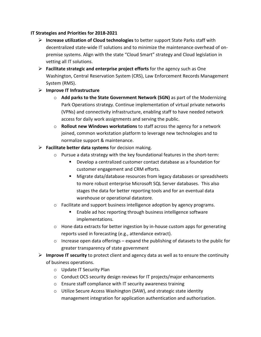#### **IT Strategies and Priorities for 2018-2021**

- **Increase utilization of Cloud technologies** to better support State Parks staff with decentralized state-wide IT solutions and to minimize the maintenance overhead of onpremise systems. Align with the state "Cloud Smart" strategy and Cloud legislation in vetting all IT solutions.
- **Facilitate strategic and enterprise project efforts** for the agency such as One Washington, Central Reservation System (CRS), Law Enforcement Records Management System (RMS).
- **Improve IT Infrastructure** 
	- o **Add parks to the State Government Network (SGN)** as part of the Modernizing Park Operations strategy. Continue implementation of virtual private networks (VPNs) and connectivity infrastructure, enabling staff to have needed network access for daily work assignments and serving the public.
	- o **Rollout new Windows workstations** to staff across the agency for a network joined, common workstation platform to leverage new technologies and to normalize support & maintenance.
- **Facilitate better data systems** for decision making.
	- $\circ$  Pursue a data strategy with the key foundational features in the short-term:
		- Develop a centralized customer contact database as a foundation for customer engagement and CRM efforts.
		- Migrate data/database resources from legacy databases or spreadsheets to more robust enterprise Microsoft SQL Server databases. This also stages the data for better reporting tools and for an eventual data warehouse or operational datastore.
	- o Facilitate and support business intelligence adoption by agency programs.
		- Enable ad hoc reporting through business intelligence software implementations.
	- $\circ$  Hone data extracts for better ingestion by in-house custom apps for generating reports used in forecasting (e.g., attendance extract).
	- $\circ$  Increase open data offerings expand the publishing of datasets to the public for greater transparency of state government
- **Improve IT security** to protect client and agency data as well as to ensure the continuity of business operations.
	- o Update IT Security Plan
	- o Conduct OCS security design reviews for IT projects/major enhancements
	- o Ensure staff compliance with IT security awareness training
	- o Utilize Secure Access Washington (SAW), and strategic state identity management integration for application authentication and authorization.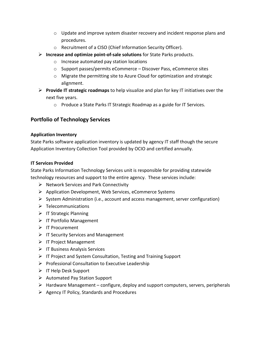- $\circ$  Update and improve system disaster recovery and incident response plans and procedures.
- o Recruitment of a CISO (Chief Information Security Officer).
- **Increase and optimize point-of-sale solutions** for State Parks products.
	- o Increase automated pay station locations
	- o Support passes/permits eCommerce Discover Pass, eCommerce sites
	- o Migrate the permitting site to Azure Cloud for optimization and strategic alignment.
- **Provide IT strategic roadmaps** to help visualize and plan for key IT initiatives over the next five years.
	- o Produce a State Parks IT Strategic Roadmap as a guide for IT Services.

# **Portfolio of Technology Services**

#### **Application Inventory**

State Parks software application inventory is updated by agency IT staff though the secure Application Inventory Collection Tool provided by OCIO and certified annually.

#### **IT Services Provided**

State Parks Information Technology Services unit is responsible for providing statewide technology resources and support to the entire agency. These services include:

- $\triangleright$  Network Services and Park Connectivity
- $\triangleright$  Application Development, Web Services, eCommerce Systems
- $\triangleright$  System Administration (i.e., account and access management, server configuration)
- $\triangleright$  Telecommunications
- $\triangleright$  IT Strategic Planning
- $\triangleright$  IT Portfolio Management
- **▶** IT Procurement
- $\triangleright$  IT Security Services and Management
- $\triangleright$  IT Project Management
- $\triangleright$  IT Business Analysis Services
- $\triangleright$  IT Project and System Consultation, Testing and Training Support
- $\triangleright$  Professional Consultation to Executive Leadership
- $\triangleright$  IT Help Desk Support
- $\triangleright$  Automated Pay Station Support
- $\triangleright$  Hardware Management configure, deploy and support computers, servers, peripherals
- $\triangleright$  Agency IT Policy, Standards and Procedures